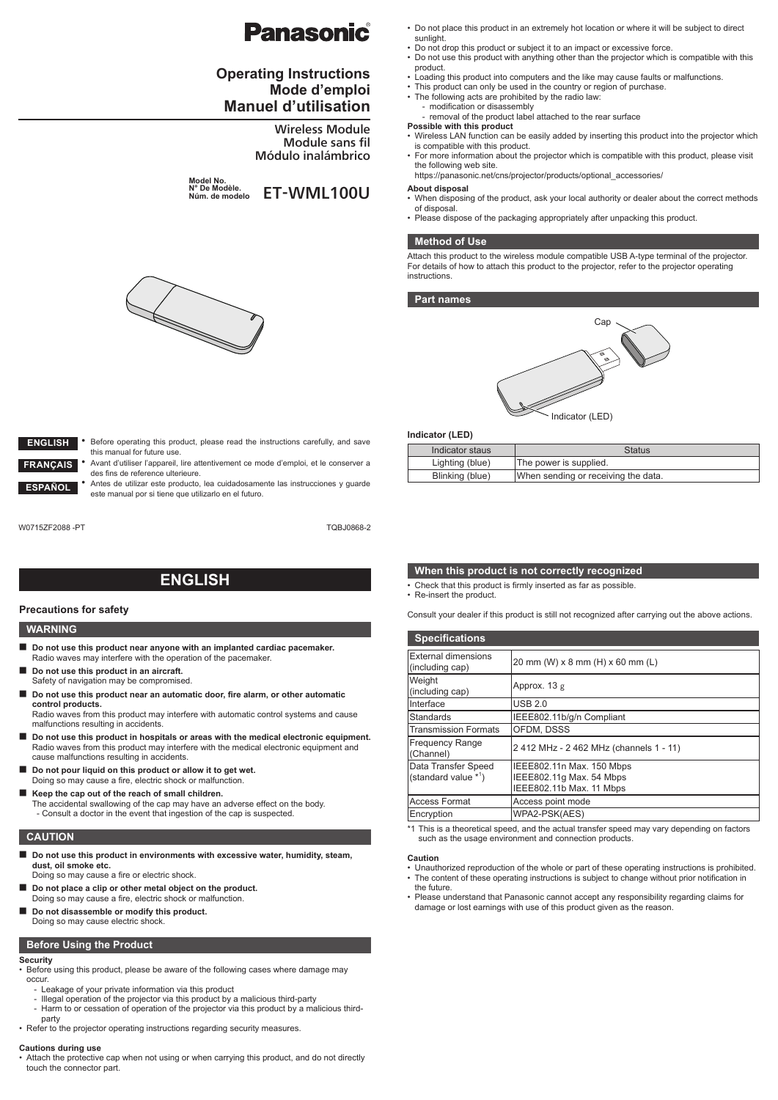# Panasonic

# **Operating Instructions Mode d'emploi Manuel d'utilisation**

Wireless Module Module sans fil Módulo inalámbrico

**Model No. N° De Modèle.** N<sup>°</sup> De Modèle.<br>Núm. de modelo **ET-WML100U** 



- Do not drop this product or subject it to an impact or excessive force.
- Do not use this product with anything other than the projector which is compatible with this product.
- Loading this product into computers and the like may cause faults or malfunctions.
- This product can only be used in the country or region of purchase.
- The following acts are prohibited by the radio law: modification or disassembly
- removal of the product label attached to the rear surface
- **Possible with this product** Wireless LAN function can be easily added by inserting this product into the projector which is compatible with this product.
	- For more information about the projector which is compatible with this product, please visit the following web site.

https://panasonic.net/cns/projector/products/optional\_accessories/

#### **About disposal**

- When disposing of the product, ask your local authority or dealer about the correct methods of disposal.
- Please dispose of the packaging appropriately after unpacking this product.

### **Method of Use**

Attach this product to the wireless module compatible USB A-type terminal of the projector. For details of how to attach this product to the projector, refer to the projector operating instructions.

#### **Part names**



### **Indicator (LED)**

| Indicator staus | <b>Status</b>                       |
|-----------------|-------------------------------------|
| Lighting (blue) | The power is supplied.              |
| Blinking (blue) | When sending or receiving the data. |

- Before operating this product, please read the instructions carefully, and save this manual for future use. **ENGLISH ANÇAIS** 
	- Avant d'utiliser l'appareil, lire attentivement ce mode d'emploi, et le conserver a des fins de reference ulterieure.
	- Antes de utilizar este producto, lea cuidadosamente las instrucciones y guarde este manual por si tiene que utilizarlo en el futuro.

W0715ZF2088 -PT **TOBJ0868-2** 

**ESPAÑOL**

# **ENGLISH**

### **Precautions for safety**

### **WARNING**

- **Do not use this product near anyone with an implanted cardiac pacemaker.** Radio waves may interfere with the operation of the pacemaker.
- **Do not use this product in an aircraft.** Safety of navigation may be compromised.
- Do not use this product near an automatic door, fire alarm, or other automatic **control products.**
- Radio waves from this product may interfere with automatic control systems and cause malfunctions resulting in accidents.
- **Do not use this product in hospitals or areas with the medical electronic equipment.** Radio waves from this product may interfere with the medical electronic equipment and cause malfunctions resulting in accidents.
- Do not pour liquid on this product or allow it to get wet. Doing so may cause a fire, electric shock or malfunction.
- Keep the cap out of the reach of small children. The accidental swallowing of the cap may have an adverse effect on the body. - Consult a doctor in the event that ingestion of the cap is suspected.

# **CAUTION**

- Do not use this product in environments with excessive water, humidity, steam, **dust, oil smoke etc.**
- Doing so may cause a fire or electric shock. Do not place a clip or other metal object on the product.
- Doing so may cause a fire, electric shock or malfunction.
- **Do not disassemble or modify this product.** Doing so may cause electric shock.

### **Before Using the Product**

# **Security**

- Before using this product, please be aware of the following cases where damage may occur.
	- Leakage of your private information via this product
	- Illegal operation of the projector via this product by a malicious third-party Harm to or cessation of operation of the projector via this product by a malicious third-
- part<sub>y</sub> • Refer to the projector operating instructions regarding security measures.

### **Cautions during use**

• Attach the protective cap when not using or when carrying this product, and do not directly touch the connector part.

#### **When this product is not correctly recognized**

- Check that this product is firmly inserted as far as possible.
- Re-insert the product.

Consult your dealer if this product is still not recognized after carrying out the above actions.

| <b>Specifications</b>                         |                                                                                   |  |
|-----------------------------------------------|-----------------------------------------------------------------------------------|--|
| <b>External dimensions</b><br>(including cap) | 20 mm (W) x 8 mm (H) x 60 mm (L)                                                  |  |
| Weight<br>(including cap)                     | Approx. 13 g                                                                      |  |
| Interface                                     | <b>USB 2.0</b>                                                                    |  |
| <b>Standards</b>                              | IEEE802.11b/g/n Compliant                                                         |  |
| <b>Transmission Formats</b>                   | OFDM. DSSS                                                                        |  |
| <b>Frequency Range</b><br>(Channel)           | 2 412 MHz - 2 462 MHz (channels 1 - 11)                                           |  |
| Data Transfer Speed<br>(standard value $*1$ ) | IEEE802.11n Max. 150 Mbps<br>IEEE802.11g Max. 54 Mbps<br>IEEE802.11b Max. 11 Mbps |  |
| <b>Access Format</b>                          | Access point mode                                                                 |  |
| Encryption                                    | WPA2-PSK(AES)                                                                     |  |

\*1 This is a theoretical speed, and the actual transfer speed may vary depending on factors such as the usage environment and connection products.

# **Caution**

- Unauthorized reproduction of the whole or part of these operating instructions is prohibited. • The content of these operating instructions is subject to change without prior notification in the future.
- Please understand that Panasonic cannot accept any responsibility regarding claims for damage or lost earnings with use of this product given as the reason.

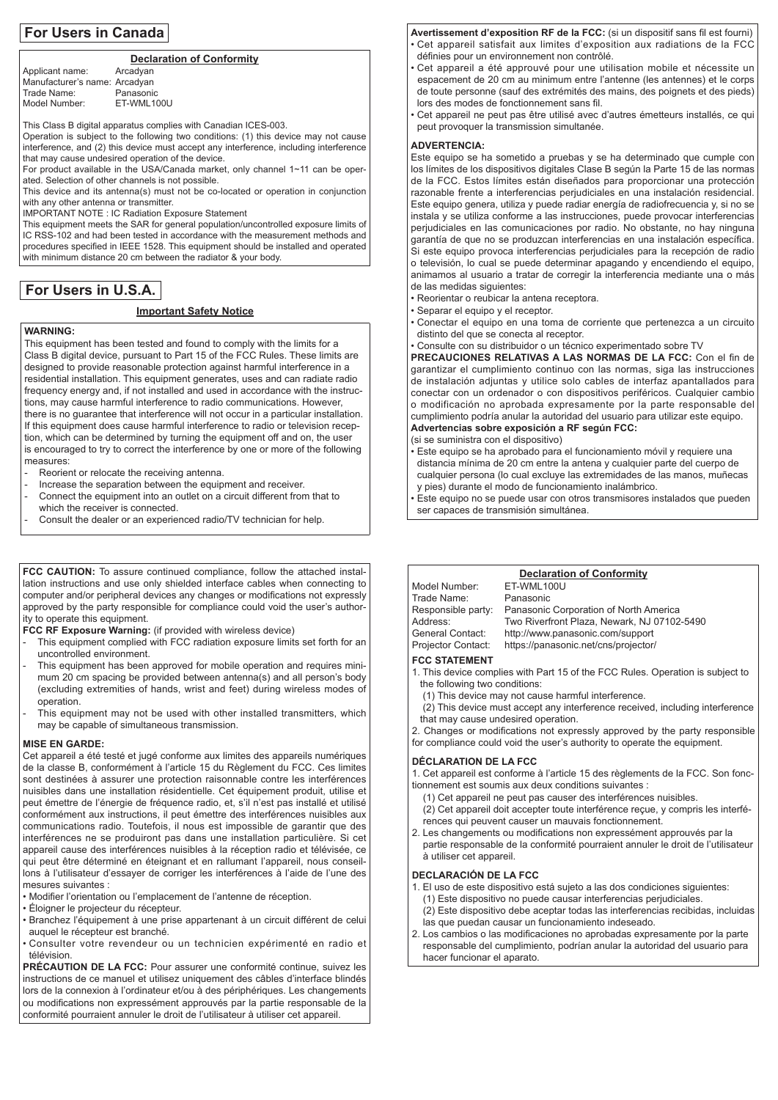# **For Users in Canada**

### **Declaration of Conformity**

Applicant name: Arcadyan Manufacturer's name: Arcadyan<br>Trade Name: Panasonic Trade Name: Panasonic<br>Model Number: ET-WML100U Model Number:

This Class B digital apparatus complies with Canadian ICES-003.

Operation is subject to the following two conditions: (1) this device may not cause interference, and (2) this device must accept any interference, including interference that may cause undesired operation of the device.

For product available in the USA/Canada market, only channel 1~11 can be operated. Selection of other channels is not possible.

This device and its antenna(s) must not be co-located or operation in conjunction with any other antenna or transmitter.

IMPORTANT NOTE : IC Radiation Exposure Statement

This equipment meets the SAR for general population/uncontrolled exposure limits of IC RSS-102 and had been tested in accordance with the measurement methods and procedures specified in IEEE 1528. This equipment should be installed and operated with minimum distance 20 cm between the radiator & your body.

# **For Users in U.S.A.**

# **Important Safety Notice**

# **WARNING:**

This equipment has been tested and found to comply with the limits for a Class B digital device, pursuant to Part 15 of the FCC Rules. These limits are designed to provide reasonable protection against harmful interference in a residential installation. This equipment generates, uses and can radiate radio frequency energy and, if not installed and used in accordance with the instructions, may cause harmful interference to radio communications. However, there is no guarantee that interference will not occur in a particular installation. If this equipment does cause harmful interference to radio or television reception, which can be determined by turning the equipment off and on, the user is encouraged to try to correct the interference by one or more of the following measures:

- Reorient or relocate the receiving antenna.
- Increase the separation between the equipment and receiver.
- Connect the equipment into an outlet on a circuit different from that to
- which the receiver is connected.
- Consult the dealer or an experienced radio/TV technician for help.

FCC CAUTION: To assure continued compliance, follow the attached installation instructions and use only shielded interface cables when connecting to computer and/or peripheral devices any changes or modifications not expressly approved by the party responsible for compliance could void the user's authority to operate this equipment.

**FCC RF Exposure Warning:** (if provided with wireless device)

- This equipment complied with FCC radiation exposure limits set forth for an uncontrolled environment.
- This equipment has been approved for mobile operation and requires minimum 20 cm spacing be provided between antenna(s) and all person's body (excluding extremities of hands, wrist and feet) during wireless modes of operation.
- This equipment may not be used with other installed transmitters, which may be capable of simultaneous transmission.

### **MISE EN GARDE:**

Cet appareil a été testé et jugé conforme aux limites des appareils numériques de la classe B, conformément à l'article 15 du Règlement du FCC. Ces limites sont destinées à assurer une protection raisonnable contre les interférences nuisibles dans une installation résidentielle. Cet équipement produit, utilise et peut émettre de l'énergie de fréquence radio, et, s'il n'est pas installé et utilisé conformément aux instructions, il peut émettre des interférences nuisibles aux communications radio. Toutefois, il nous est impossible de garantir que des interférences ne se produiront pas dans une installation particulière. Si cet appareil cause des interférences nuisibles à la réception radio et télévisée, ce qui peut être déterminé en éteignant et en rallumant l'appareil, nous conseillons à l'utilisateur d'essayer de corriger les interférences à l'aide de l'une des mesures suivantes :

- Modifier l'orientation ou l'emplacement de l'antenne de réception.
- Éloigner le projecteur du récepteur.
- Branchez l'équipement à une prise appartenant à un circuit différent de celui auquel le récepteur est branché.
- Consulter votre revendeur ou un technicien expérimenté en radio et télévision.

**PRÉCAUTION DE LA FCC:** Pour assurer une conformité continue, suivez les instructions de ce manuel et utilisez uniquement des câbles d'interface blindés lors de la connexion à l'ordinateur et/ou à des périphériques. Les changements ou modifications non expressément approuvés par la partie responsable de la conformité pourraient annuler le droit de l'utilisateur à utiliser cet appareil.

**Avertissement d'exposition RF de la FCC:** (si un dispositif sans fil est fourni) • Cet appareil satisfait aux limites d'exposition aux radiations de la FCC définies pour un environnement non contrôlé.

• Cet appareil a été approuvé pour une utilisation mobile et nécessite un espacement de 20 cm au minimum entre l'antenne (les antennes) et le corps de toute personne (sauf des extrémités des mains, des poignets et des pieds) lors des modes de fonctionnement sans fil.

• Cet appareil ne peut pas être utilisé avec d'autres émetteurs installés, ce qui peut provoquer la transmission simultanée.

#### **ADVERTENCIA:**

Este equipo se ha sometido a pruebas y se ha determinado que cumple con los límites de los dispositivos digitales Clase B según la Parte 15 de las normas de la FCC. Estos límites están diseñados para proporcionar una protección razonable frente a interferencias perjudiciales en una instalación residencial. Este equipo genera, utiliza y puede radiar energía de radiofrecuencia y, si no se instala y se utiliza conforme a las instrucciones, puede provocar interferencias perjudiciales en las comunicaciones por radio. No obstante, no hay ninguna garantía de que no se produzcan interferencias en una instalación específica. Si este equipo provoca interferencias perjudiciales para la recepción de radio o televisión, lo cual se puede determinar apagando y encendiendo el equipo, animamos al usuario a tratar de corregir la interferencia mediante una o más de las medidas siguientes:

- Reorientar o reubicar la antena receptora.
- Separar el equipo y el receptor.
- Conectar el equipo en una toma de corriente que pertenezca a un circuito distinto del que se conecta al receptor.
- Consulte con su distribuidor o un técnico experimentado sobre TV

**PRECAUCIONES RELATIVAS A LAS NORMAS DE LA FCC:** Con el fin de garantizar el cumplimiento continuo con las normas, siga las instrucciones de instalación adjuntas y utilice solo cables de interfaz apantallados para conectar con un ordenador o con dispositivos periféricos. Cualquier cambio o modificación no aprobada expresamente por la parte responsable del cumplimiento podría anular la autoridad del usuario para utilizar este equipo.

# **Advertencias sobre exposición a RF según FCC:**

(si se suministra con el dispositivo)

• Este equipo se ha aprobado para el funcionamiento móvil y requiere una distancia mínima de 20 cm entre la antena y cualquier parte del cuerpo de cualquier persona (lo cual excluye las extremidades de las manos, muñecas y pies) durante el modo de funcionamiento inalámbrico.

- Este equipo no se puede usar con otros transmisores instalados que pueden ser capaces de transmisión simultánea.
- **Declaration of Conformity**<br>**FT-WML100U** Model Number: ET-WML10<br>Trade Name: Panasonic Trade Name:<br>Responsible party: Responsible party: Panasonic Corporation of North America<br>Address: Two Riverfront Plaza, Newark, NJ 07102 Address: Two Riverfront Plaza, Newark, NJ 07102-5490<br>General Contact: http://www.panasonic.com/support http://www.panasonic.com/support Projector Contact: https://panasonic.net/cns/projector/ **FCC STATEMENT** 1. This device complies with Part 15 of the FCC Rules. Operation is subject to the following two conditions: (1) This device may not cause harmful interference. (2) This device must accept any interference received, including interference
	- that may cause undesired operation. 2. Changes or modifications not expressly approved by the party responsible
	- for compliance could void the user's authority to operate the equipment.

### **DÉCLARATION DE LA FCC**

1. Cet appareil est conforme à l'article 15 des règlements de la FCC. Son fonctionnement est soumis aux deux conditions suivantes :

- (1) Cet appareil ne peut pas causer des interférences nuisibles.
- (2) Cet appareil doit accepter toute interférence reçue, y compris les interférences qui peuvent causer un mauvais fonctionnement.
- 2. Les changements ou modifications non expressément approuvés par la partie responsable de la conformité pourraient annuler le droit de l'utilisateur à utiliser cet appareil.

# **DECLARACIÓN DE LA FCC**

- 1. El uso de este dispositivo está sujeto a las dos condiciones siguientes:
	- (1) Este dispositivo no puede causar interferencias perjudiciales.
- (2) Este dispositivo debe aceptar todas las interferencias recibidas, incluidas las que puedan causar un funcionamiento indeseado.
- 2. Los cambios o las modificaciones no aprobadas expresamente por la parte responsable del cumplimiento, podrían anular la autoridad del usuario para hacer funcionar el aparato.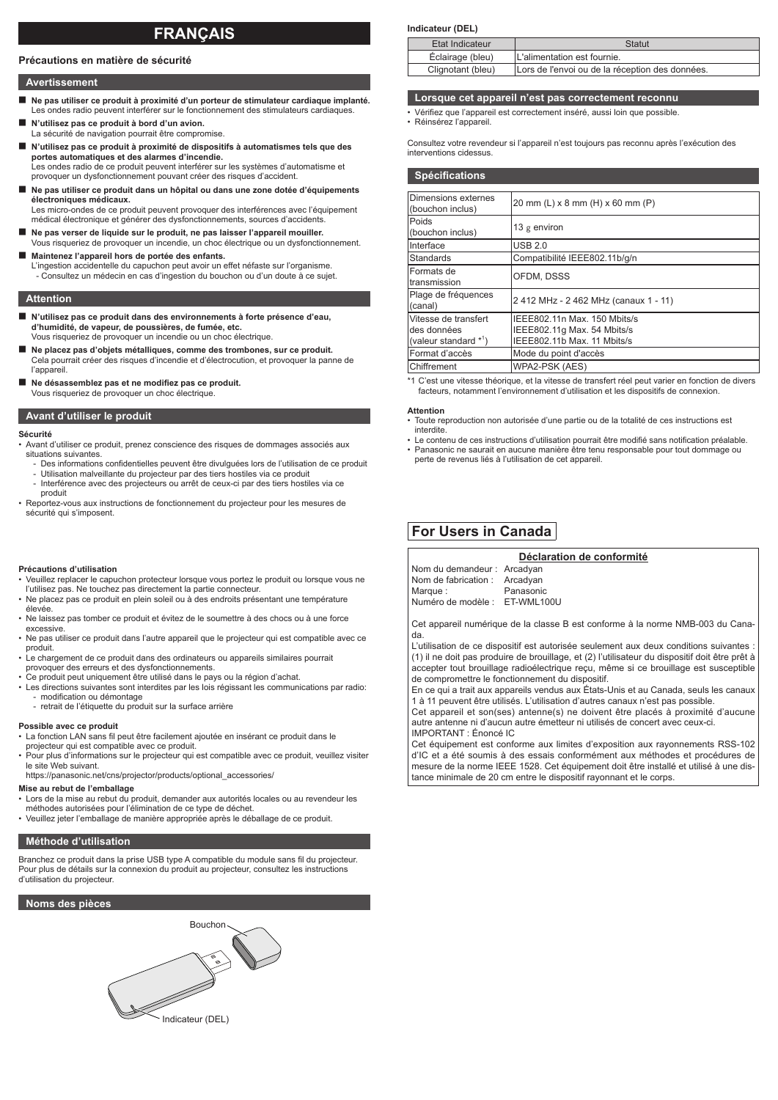# **FRANÇAIS**

#### **Précautions en matière de sécurité**

#### **Avertissement**

- **Ne pas utiliser ce produit à proximité d'un porteur de stimulateur cardiaque implanté.** Les ondes radio peuvent interférer sur le fonctionnement des stimulateurs cardiaques.
- **N'utilisez pas ce produit à bord d'un avion.** La sécurité de navigation pourrait être compromise.
- **N'utilisez pas ce produit à proximité de dispositifs à automatismes tels que des portes automatiques et des alarmes d'incendie.** Les ondes radio de ce produit peuvent interférer sur les systèmes d'automatisme et provoquer un dysfonctionnement pouvant créer des risques d'accident.
- Ne pas utiliser ce produit dans un hôpital ou dans une zone dotée d'équipements **électroniques médicaux.**

Les micro-ondes de ce produit peuvent provoquer des interférences avec l'équipement médical électronique et générer des dysfonctionnements, sources d'accidents.

- Ne pas verser de liquide sur le produit, ne pas laisser l'appareil mouiller. Vous risqueriez de provoquer un incendie, un choc électrique ou un dysfonctionnement.
- **Maintenez l'appareil hors de portée des enfants.** L'ingestion accidentelle du capuchon peut avoir un effet néfaste sur l'organisme. - Consultez un médecin en cas d'ingestion du bouchon ou d'un doute à ce sujet.

#### **Attention**

- **N'utilisez pas ce produit dans des environnements à forte présence d'eau, d'humidité, de vapeur, de poussières, de fumée, etc.** Vous risqueriez de provoquer un incendie ou un choc électrique.
- Ne placez pas d'objets métalliques, comme des trombones, sur ce produit. Cela pourrait créer des risques d'incendie et d'électrocution, et provoquer la panne de l'appareil.
- Ne désassemblez pas et ne modifiez pas ce produit. Vous risqueriez de provoquer un choc électrique.

#### **Avant d'utiliser le produit**

#### **Sécurité**

- Avant d'utiliser ce produit, prenez conscience des risques de dommages associés aux situations suivantes
- Des informations confidentielles peuvent être divulguées lors de l'utilisation de ce produit - Utilisation malveillante du projecteur par des tiers hostiles via ce produit
- Interférence avec des projecteurs ou arrêt de ceux-ci par des tiers hostiles via ce produit
- Reportez-vous aux instructions de fonctionnement du projecteur pour les mesures de sécurité qui s'imposent.

#### **Précautions d'utilisation**

- Veuillez replacer le capuchon protecteur lorsque vous portez le produit ou lorsque vous ne l'utilisez pas. Ne touchez pas directement la partie connecteur.
- Ne placez pas ce produit en plein soleil ou à des endroits présentant une température élevée.
- Ne laissez pas tomber ce produit et évitez de le soumettre à des chocs ou à une force excessive.
- Ne pas utiliser ce produit dans l'autre appareil que le projecteur qui est compatible avec ce produit.
- Le chargement de ce produit dans des ordinateurs ou appareils similaires pourrait provoquer des erreurs et des dysfonctionnements.
- Ce produit peut uniquement être utilisé dans le pays ou la région d'achat.
- Les directions suivantes sont interdites par les lois régissant les communications par radio: modification ou démontage
- retrait de l'étiquette du produit sur la surface arrière

#### **Possible avec ce produit**

- La fonction LAN sans fil peut être facilement ajoutée en insérant ce produit dans le
- projecteur qui est compatible avec ce produit. Pour plus d'informations sur le projecteur qui est compatible avec ce produit, veuillez visiter le site Web suivant.

#### https://panasonic.net/cns/projector/products/optional\_accessories/ **Mise au rebut de l'emballage**

- Lors de la mise au rebut du produit, demander aux autorités locales ou au revendeur les
- méthodes autorisées pour l'élimination de ce type de déchet. Veuillez jeter l'emballage de manière appropriée après le déballage de ce produit.
- 

### **Méthode d'utilisation**

Branchez ce produit dans la prise USB type A compatible du module sans fil du projecteur. Pour plus de détails sur la connexion du produit au projecteur, consultez les instructions d'utilisation du projecteur.

# **Noms des pièces**



#### **Indicateur (DEL)**

| Etat Indicateur   | Statut                                          |
|-------------------|-------------------------------------------------|
| Éclairage (bleu)  | L'alimentation est fournie.                     |
| Clignotant (bleu) | Lors de l'envoi ou de la réception des données. |

# **Lorsque cet appareil n'est pas correctement reconnu**

- Vérifiez que l'appareil est correctement inséré, aussi loin que possible. • Réinsérez l'appareil.
	-

Consultez votre revendeur si l'appareil n'est toujours pas reconnu après l'exécution des interventions cidessus.

| <b>Spécifications</b>                                          |                                                                                            |
|----------------------------------------------------------------|--------------------------------------------------------------------------------------------|
| Dimensions externes<br>(bouchon inclus)                        | 20 mm (L) x 8 mm (H) x 60 mm (P)                                                           |
| Poids<br>(bouchon inclus)                                      | 13 $g$ environ                                                                             |
| Interface                                                      | <b>USB 2.0</b>                                                                             |
| Standards                                                      | Compatibilité IEEE802.11b/g/n                                                              |
| Formats de<br>transmission                                     | OFDM. DSSS                                                                                 |
| Plage de fréquences<br>(canal)                                 | 2 412 MHz - 2 462 MHz (canaux 1 - 11)                                                      |
| Vitesse de transfert<br>des données<br>(valeur standard $*1$ ) | IEEE802.11n Max. 150 Mbits/s<br>IEEE802.11g Max. 54 Mbits/s<br>IEEE802.11b Max. 11 Mbits/s |
| Format d'accès                                                 | Mode du point d'accès                                                                      |
| Chiffrement                                                    | WPA2-PSK (AES)                                                                             |

\*1 C'est une vitesse théorique, et la vitesse de transfert réel peut varier en fonction de divers facteurs, notamment l'environnement d'utilisation et les dispositifs de connexion.

**Attention**

- Toute reproduction non autorisée d'une partie ou de la totalité de ces instructions est interdite.
- Le contenu de ces instructions d'utilisation pourrait être modifié sans notification préalable.
- Panasonic ne saurait en aucune manière être tenu responsable pour tout dommage ou perte de revenus liés à l'utilisation de cet appareil.

# **For Users in Canada**

|                               | Déclaration de conformité |
|-------------------------------|---------------------------|
| Nom du demandeur : Arcadyan   |                           |
| Nom de fabrication : Arcadyan |                           |
| Marque:                       | Panasonic                 |
| Numéro de modèle : ET-WML100U |                           |
|                               |                           |

Cet appareil numérique de la classe B est conforme à la norme NMB-003 du Canada.

L'utilisation de ce dispositif est autorisée seulement aux deux conditions suivantes : (1) il ne doit pas produire de brouillage, et (2) l'utilisateur du dispositif doit être prêt à accepter tout brouillage radioélectrique reçu, même si ce brouillage est susceptible de compromettre le fonctionnement du dispositif.

En ce qui a trait aux appareils vendus aux États-Unis et au Canada, seuls les canaux 1 à 11 peuvent être utilisés. L'utilisation d'autres canaux n'est pas possible.

Cet appareil et son(ses) antenne(s) ne doivent être placés à proximité d'aucune autre antenne ni d'aucun autre émetteur ni utilisés de concert avec ceux-ci.

IMPORTANT : Énoncé IC

Cet équipement est conforme aux limites d'exposition aux rayonnements RSS-102 d'IC et a été soumis à des essais conformément aux méthodes et procédures de mesure de la norme IEEE 1528. Cet équipement doit être installé et utilisé à une distance minimale de 20 cm entre le dispositif rayonnant et le corps.